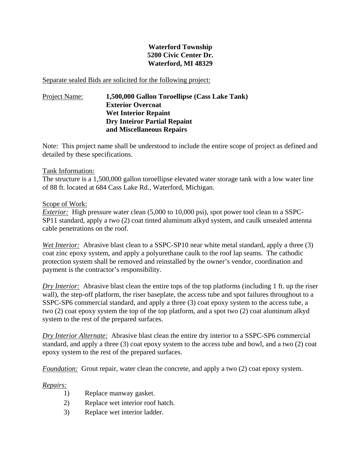## **Waterford Township 5200 Civic Center Dr. Waterford, MI 48329**

Separate sealed Bids are solicited for the following project:

# Project Name: **1,500,000 Gallon Toroellipse (Cass Lake Tank) Exterior Overcoat Wet Interior Repaint Dry Inteiror Partial Repaint and Miscellaneous Repairs**

Note: This project name shall be understood to include the entire scope of project as defined and detailed by these specifications.

### Tank Information:

The structure is a 1,500,000 gallon toroellipse elevated water storage tank with a low water line of 88 ft. located at 684 Cass Lake Rd., Waterford, Michigan.

### Scope of Work:

*Exterior:* High pressure water clean (5,000 to 10,000 psi), spot power tool clean to a SSPC-SP11 standard, apply a two (2) coat tinted aluminum alkyd system, and caulk unsealed antenna cable penetrations on the roof.

*Wet Interior:* Abrasive blast clean to a SSPC-SP10 near white metal standard, apply a three (3) coat zinc epoxy system, and apply a polyurethane caulk to the roof lap seams. The cathodic protection system shall be removed and reinstalled by the owner's vendor, coordination and payment is the contractor's responsibility.

*Dry Interior:* Abrasive blast clean the entire tops of the top platforms (including 1 ft. up the riser wall), the step-off platform, the riser baseplate, the access tube and spot failures throughout to a SSPC-SP6 commercial standard, and apply a three (3) coat epoxy system to the access tube, a two (2) coat epoxy system the top of the top platform, and a spot two (2) coat aluminum alkyd system to the rest of the prepared surfaces.

*Dry Interior Alternate:* Abrasive blast clean the entire dry interior to a SSPC-SP6 commercial standard, and apply a three (3) coat epoxy system to the access tube and bowl, and a two (2) coat epoxy system to the rest of the prepared surfaces.

*Foundation:* Grout repair, water clean the concrete, and apply a two (2) coat epoxy system.

### *Repairs:*

- 1) Replace manway gasket.
- 2) Replace wet interior roof hatch.
- 3) Replace wet interior ladder.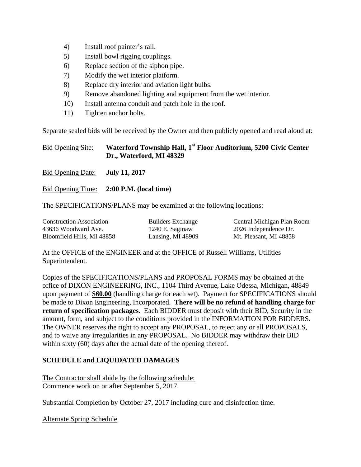- 4) Install roof painter's rail.
- 5) Install bowl rigging couplings.
- 6) Replace section of the siphon pipe.
- 7) Modify the wet interior platform.
- 8) Replace dry interior and aviation light bulbs.
- 9) Remove abandoned lighting and equipment from the wet interior.
- 10) Install antenna conduit and patch hole in the roof.
- 11) Tighten anchor bolts.

Separate sealed bids will be received by the Owner and then publicly opened and read aloud at:

Bid Opening Site: **Waterford Township Hall, 1st Floor Auditorium, 5200 Civic Center Dr., Waterford, MI 48329**

Bid Opening Date: **July 11, 2017** 

Bid Opening Time: **2:00 P.M. (local time)** 

The SPECIFICATIONS/PLANS may be examined at the following locations:

| <b>Construction Association</b> | <b>Builders Exchange</b> | Central Michigan Plan Room |
|---------------------------------|--------------------------|----------------------------|
| 43636 Woodward Ave.             | 1240 E. Saginaw          | 2026 Independence Dr.      |
| Bloomfield Hills, MI 48858      | Lansing, MI 48909        | Mt. Pleasant, MI 48858     |

At the OFFICE of the ENGINEER and at the OFFICE of Russell Williams, Utilities Superintendent.

Copies of the SPECIFICATIONS/PLANS and PROPOSAL FORMS may be obtained at the office of DIXON ENGINEERING, INC., 1104 Third Avenue, Lake Odessa, Michigan, 48849 upon payment of **\$60.00** (handling charge for each set). Payment for SPECIFICATIONS should be made to Dixon Engineering, Incorporated. **There will be no refund of handling charge for return of specification packages**. Each BIDDER must deposit with their BID, Security in the amount, form, and subject to the conditions provided in the INFORMATION FOR BIDDERS. The OWNER reserves the right to accept any PROPOSAL, to reject any or all PROPOSALS, and to waive any irregularities in any PROPOSAL. No BIDDER may withdraw their BID within sixty (60) days after the actual date of the opening thereof.

### **SCHEDULE and LIQUIDATED DAMAGES**

The Contractor shall abide by the following schedule: Commence work on or after September 5, 2017.

Substantial Completion by October 27, 2017 including cure and disinfection time.

Alternate Spring Schedule